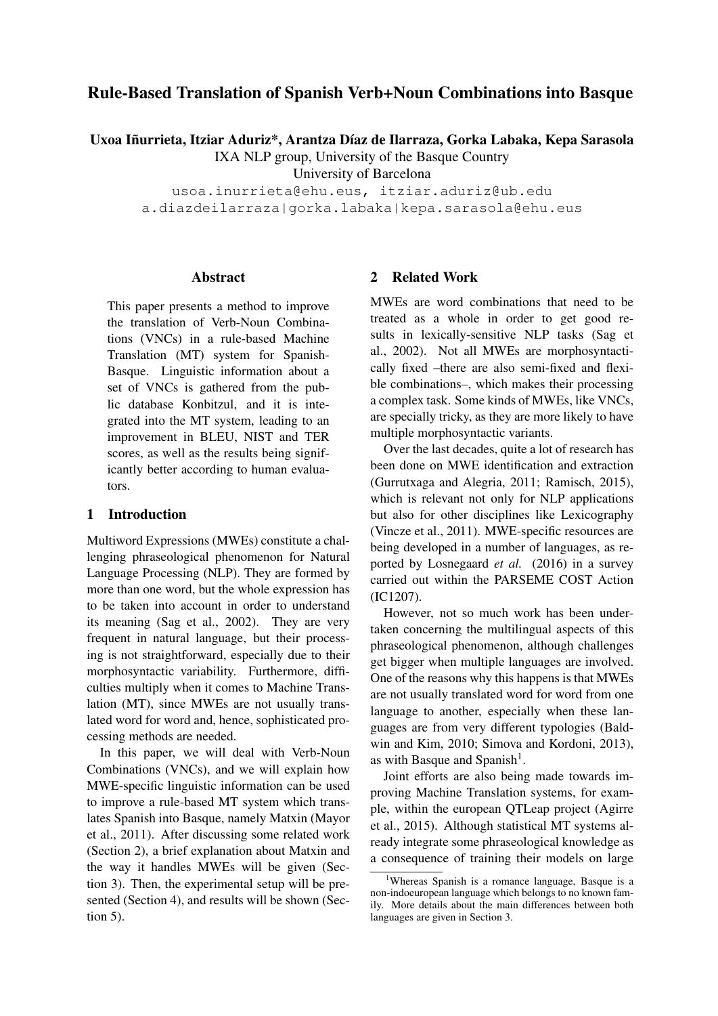# Rule-Based Translation of Spanish Verb+Noun Combinations into Basque

Uxoa Iñurrieta, Itziar Aduriz\*, Arantza Díaz de Ilarraza, Gorka Labaka, Kepa Sarasola

IXA NLP group, University of the Basque Country

University of Barcelona

usoa.inurrieta@ehu.eus, itziar.aduriz@ub.edu a.diazdeilarraza|gorka.labaka|kepa.sarasola@ehu.eus

#### Abstract

This paper presents a method to improve the translation of Verb-Noun Combinations (VNCs) in a rule-based Machine Translation (MT) system for Spanish-Basque. Linguistic information about a set of VNCs is gathered from the public database Konbitzul, and it is integrated into the MT system, leading to an improvement in BLEU, NIST and TER scores, as well as the results being significantly better according to human evaluators.

## 1 Introduction

Multiword Expressions (MWEs) constitute a challenging phraseological phenomenon for Natural Language Processing (NLP). They are formed by more than one word, but the whole expression has to be taken into account in order to understand its meaning (Sag et al., 2002). They are very frequent in natural language, but their processing is not straightforward, especially due to their morphosyntactic variability. Furthermore, difficulties multiply when it comes to Machine Translation (MT), since MWEs are not usually translated word for word and, hence, sophisticated processing methods are needed.

In this paper, we will deal with Verb-Noun Combinations (VNCs), and we will explain how MWE-specific linguistic information can be used to improve a rule-based MT system which translates Spanish into Basque, namely Matxin (Mayor et al., 2011). After discussing some related work (Section 2), a brief explanation about Matxin and the way it handles MWEs will be given (Section 3). Then, the experimental setup will be presented (Section 4), and results will be shown (Section 5).

## 2 Related Work

MWEs are word combinations that need to be treated as a whole in order to get good results in lexically-sensitive NLP tasks (Sag et al., 2002). Not all MWEs are morphosyntactically fixed –there are also semi-fixed and flexible combinations–, which makes their processing a complex task. Some kinds of MWEs, like VNCs, are specially tricky, as they are more likely to have multiple morphosyntactic variants.

Over the last decades, quite a lot of research has been done on MWE identification and extraction (Gurrutxaga and Alegria, 2011; Ramisch, 2015), which is relevant not only for NLP applications but also for other disciplines like Lexicography (Vincze et al., 2011). MWE-specific resources are being developed in a number of languages, as reported by Losnegaard *et al.* (2016) in a survey carried out within the PARSEME COST Action (IC1207).

However, not so much work has been undertaken concerning the multilingual aspects of this phraseological phenomenon, although challenges get bigger when multiple languages are involved. One of the reasons why this happens is that MWEs are not usually translated word for word from one language to another, especially when these languages are from very different typologies (Baldwin and Kim, 2010; Simova and Kordoni, 2013), as with Basque and Spanish<sup>1</sup>.

Joint efforts are also being made towards improving Machine Translation systems, for example, within the european QTLeap project (Agirre et al., 2015). Although statistical MT systems already integrate some phraseological knowledge as a consequence of training their models on large

<sup>&</sup>lt;sup>1</sup>Whereas Spanish is a romance language, Basque is a non-indoeuropean language which belongs to no known family. More details about the main differences between both languages are given in Section 3.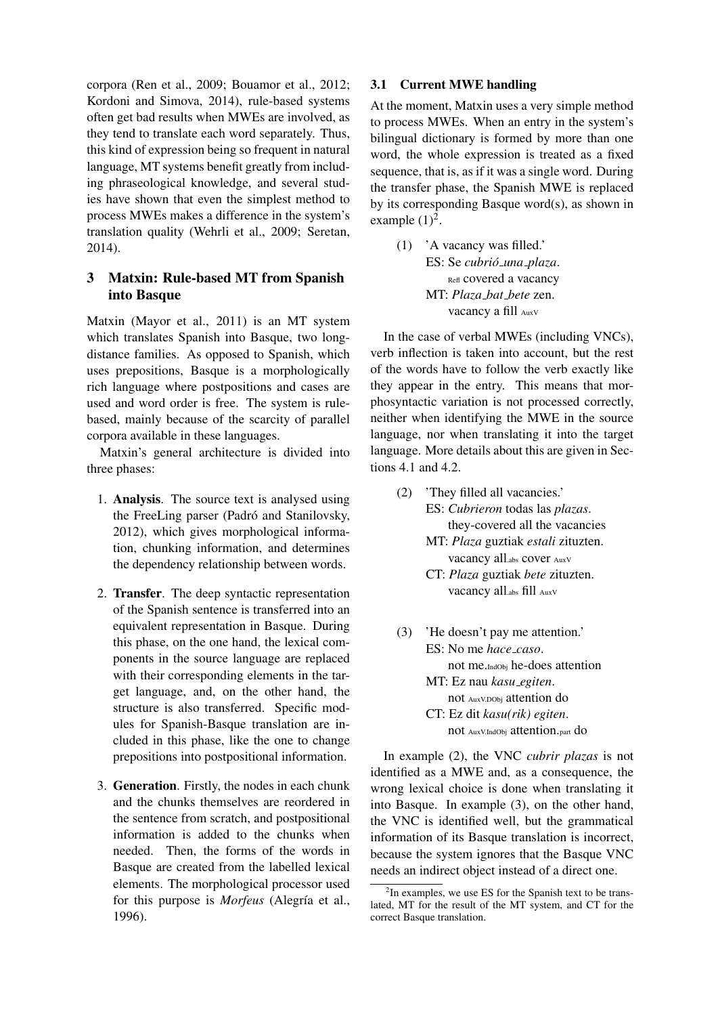corpora (Ren et al., 2009; Bouamor et al., 2012; Kordoni and Simova, 2014), rule-based systems often get bad results when MWEs are involved, as they tend to translate each word separately. Thus, this kind of expression being so frequent in natural language, MT systems benefit greatly from including phraseological knowledge, and several studies have shown that even the simplest method to process MWEs makes a difference in the system's translation quality (Wehrli et al., 2009; Seretan, 2014).

## 3 Matxin: Rule-based MT from Spanish into Basque

Matxin (Mayor et al., 2011) is an MT system which translates Spanish into Basque, two longdistance families. As opposed to Spanish, which uses prepositions, Basque is a morphologically rich language where postpositions and cases are used and word order is free. The system is rulebased, mainly because of the scarcity of parallel corpora available in these languages.

Matxin's general architecture is divided into three phases:

- 1. Analysis. The source text is analysed using the FreeLing parser (Padró and Stanilovsky, 2012), which gives morphological information, chunking information, and determines the dependency relationship between words.
- 2. Transfer. The deep syntactic representation of the Spanish sentence is transferred into an equivalent representation in Basque. During this phase, on the one hand, the lexical components in the source language are replaced with their corresponding elements in the target language, and, on the other hand, the structure is also transferred. Specific modules for Spanish-Basque translation are included in this phase, like the one to change prepositions into postpositional information.
- 3. Generation. Firstly, the nodes in each chunk and the chunks themselves are reordered in the sentence from scratch, and postpositional information is added to the chunks when needed. Then, the forms of the words in Basque are created from the labelled lexical elements. The morphological processor used for this purpose is *Morfeus* (Alegría et al., 1996).

### 3.1 Current MWE handling

At the moment, Matxin uses a very simple method to process MWEs. When an entry in the system's bilingual dictionary is formed by more than one word, the whole expression is treated as a fixed sequence, that is, as if it was a single word. During the transfer phase, the Spanish MWE is replaced by its corresponding Basque word(s), as shown in example  $(1)^2$ .

(1) 'A vacancy was filled.' ES: Se *cubrio´ una plaza*. Refl covered a vacancy MT: *Plaza bat bete* zen. vacancy a fill AuxV

In the case of verbal MWEs (including VNCs), verb inflection is taken into account, but the rest of the words have to follow the verb exactly like they appear in the entry. This means that morphosyntactic variation is not processed correctly, neither when identifying the MWE in the source language, nor when translating it into the target language. More details about this are given in Sections 4.1 and 4.2.

- (2) 'They filled all vacancies.' ES: *Cubrieron* todas las *plazas*. they-covered all the vacancies MT: *Plaza* guztiak *estali* zituzten. vacancy all.abs cover AuxV
	- CT: *Plaza* guztiak *bete* zituzten. vacancy all.abs fill AuxV
- (3) 'He doesn't pay me attention.' ES: No me *hace caso*. not me.IndObj he-does attention MT: Ez nau *kasu egiten*. not AuxV.DObj attention do CT: Ez dit *kasu(rik) egiten*. not AuxV.IndObj attention.part do

In example (2), the VNC *cubrir plazas* is not identified as a MWE and, as a consequence, the wrong lexical choice is done when translating it into Basque. In example (3), on the other hand, the VNC is identified well, but the grammatical information of its Basque translation is incorrect, because the system ignores that the Basque VNC needs an indirect object instead of a direct one.

<sup>&</sup>lt;sup>2</sup>In examples, we use ES for the Spanish text to be translated, MT for the result of the MT system, and CT for the correct Basque translation.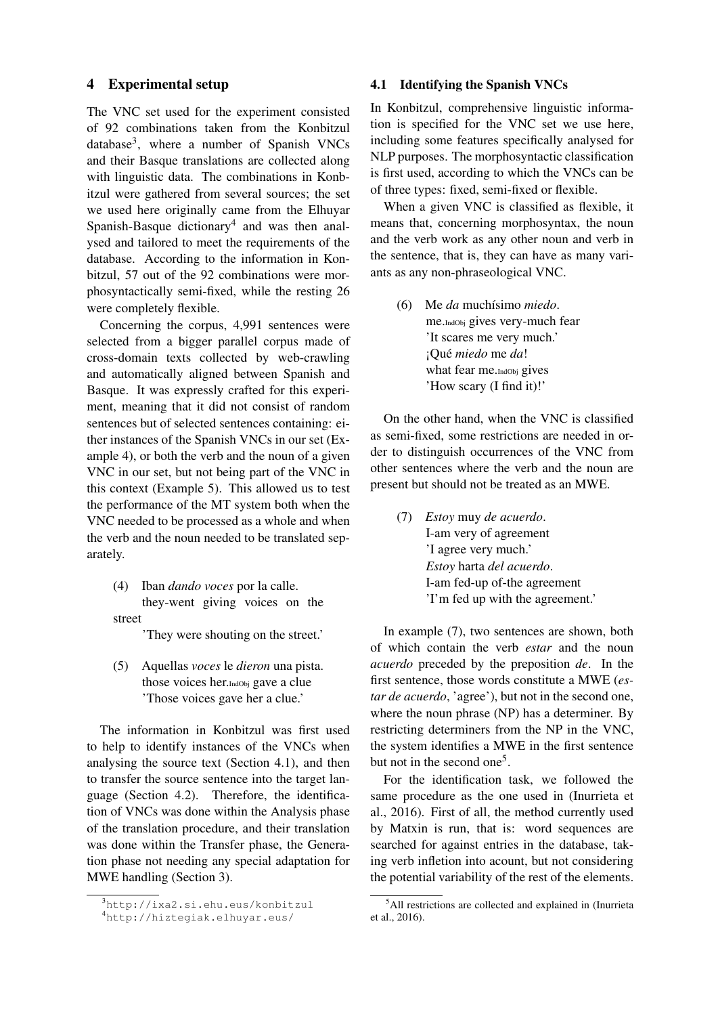### 4 Experimental setup

The VNC set used for the experiment consisted of 92 combinations taken from the Konbitzul database<sup>3</sup>, where a number of Spanish VNCs and their Basque translations are collected along with linguistic data. The combinations in Konbitzul were gathered from several sources; the set we used here originally came from the Elhuyar Spanish-Basque dictionary<sup>4</sup> and was then analysed and tailored to meet the requirements of the database. According to the information in Konbitzul, 57 out of the 92 combinations were morphosyntactically semi-fixed, while the resting 26 were completely flexible.

Concerning the corpus, 4,991 sentences were selected from a bigger parallel corpus made of cross-domain texts collected by web-crawling and automatically aligned between Spanish and Basque. It was expressly crafted for this experiment, meaning that it did not consist of random sentences but of selected sentences containing: either instances of the Spanish VNCs in our set (Example 4), or both the verb and the noun of a given VNC in our set, but not being part of the VNC in this context (Example 5). This allowed us to test the performance of the MT system both when the VNC needed to be processed as a whole and when the verb and the noun needed to be translated separately.

(4) Iban *dando voces* por la calle. they-went giving voices on the street

'They were shouting on the street.'

(5) Aquellas *voces* le *dieron* una pista. those voices her.IndObj gave a clue 'Those voices gave her a clue.'

The information in Konbitzul was first used to help to identify instances of the VNCs when analysing the source text (Section 4.1), and then to transfer the source sentence into the target language (Section 4.2). Therefore, the identification of VNCs was done within the Analysis phase of the translation procedure, and their translation was done within the Transfer phase, the Generation phase not needing any special adaptation for MWE handling (Section 3).

## 4.1 Identifying the Spanish VNCs

In Konbitzul, comprehensive linguistic information is specified for the VNC set we use here, including some features specifically analysed for NLP purposes. The morphosyntactic classification is first used, according to which the VNCs can be of three types: fixed, semi-fixed or flexible.

When a given VNC is classified as flexible, it means that, concerning morphosyntax, the noun and the verb work as any other noun and verb in the sentence, that is, they can have as many variants as any non-phraseological VNC.

(6) Me *da* muchísimo *miedo*. me.IndObj gives very-much fear 'It scares me very much.' ¡Que´ *miedo* me *da*! what fear me. IndObj gives 'How scary (I find it)!'

On the other hand, when the VNC is classified as semi-fixed, some restrictions are needed in order to distinguish occurrences of the VNC from other sentences where the verb and the noun are present but should not be treated as an MWE.

(7) *Estoy* muy *de acuerdo*. I-am very of agreement 'I agree very much.' *Estoy* harta *del acuerdo*. I-am fed-up of-the agreement 'I'm fed up with the agreement.'

In example (7), two sentences are shown, both of which contain the verb *estar* and the noun *acuerdo* preceded by the preposition *de*. In the first sentence, those words constitute a MWE (*estar de acuerdo*, 'agree'), but not in the second one, where the noun phrase (NP) has a determiner. By restricting determiners from the NP in the VNC, the system identifies a MWE in the first sentence but not in the second one<sup>5</sup>.

For the identification task, we followed the same procedure as the one used in (Inurrieta et al., 2016). First of all, the method currently used by Matxin is run, that is: word sequences are searched for against entries in the database, taking verb infletion into acount, but not considering the potential variability of the rest of the elements.

<sup>3</sup>http://ixa2.si.ehu.eus/konbitzul

<sup>4</sup>http://hiztegiak.elhuyar.eus/

<sup>&</sup>lt;sup>5</sup>All restrictions are collected and explained in (Inurrieta et al., 2016).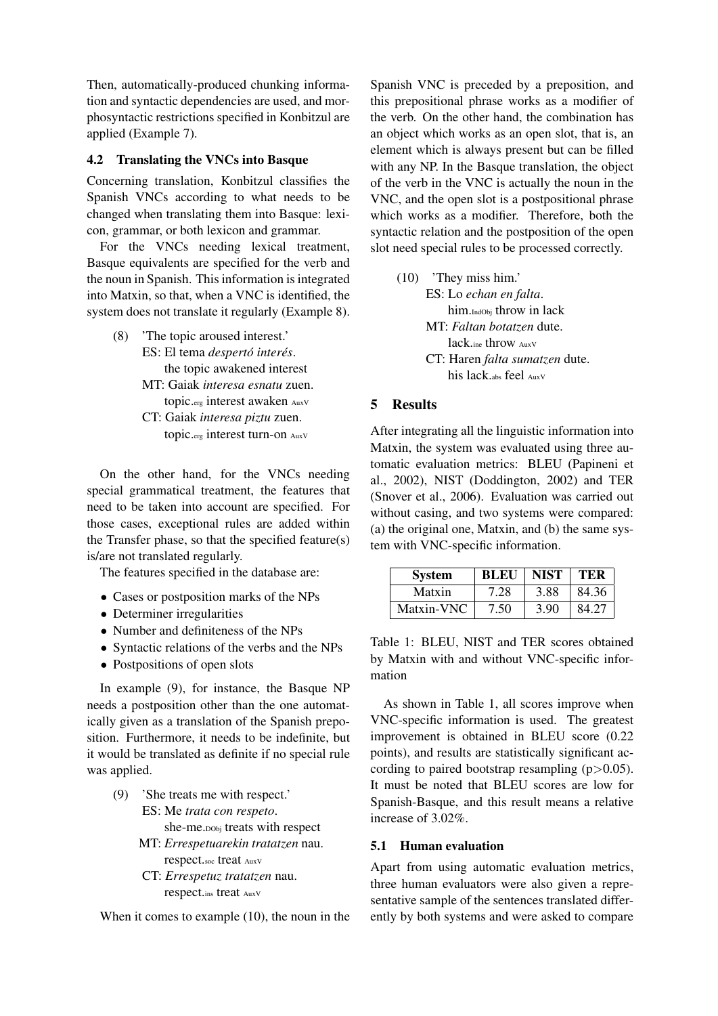Then, automatically-produced chunking information and syntactic dependencies are used, and morphosyntactic restrictions specified in Konbitzul are applied (Example 7).

### 4.2 Translating the VNCs into Basque

Concerning translation, Konbitzul classifies the Spanish VNCs according to what needs to be changed when translating them into Basque: lexicon, grammar, or both lexicon and grammar.

For the VNCs needing lexical treatment, Basque equivalents are specified for the verb and the noun in Spanish. This information is integrated into Matxin, so that, when a VNC is identified, the system does not translate it regularly (Example 8).

- (8) 'The topic aroused interest.' ES: El tema *despertó interés*. the topic awakened interest MT: Gaiak *interesa esnatu* zuen.
	- topic.erg interest awaken AuxV CT: Gaiak *interesa piztu* zuen. topic.erg interest turn-on AuxV

On the other hand, for the VNCs needing special grammatical treatment, the features that need to be taken into account are specified. For those cases, exceptional rules are added within the Transfer phase, so that the specified feature(s) is/are not translated regularly.

The features specified in the database are:

- Cases or postposition marks of the NPs
- Determiner irregularities
- Number and definiteness of the NPs
- Syntactic relations of the verbs and the NPs
- Postpositions of open slots

In example (9), for instance, the Basque NP needs a postposition other than the one automatically given as a translation of the Spanish preposition. Furthermore, it needs to be indefinite, but it would be translated as definite if no special rule was applied.

- (9) 'She treats me with respect.' ES: Me *trata con respeto*. she-me.DObj treats with respect MT: *Errespetuarekin tratatzen* nau.
	- respect.soc treat AuxV CT: *Errespetuz tratatzen* nau. respect.ins treat AuxV

When it comes to example (10), the noun in the

Spanish VNC is preceded by a preposition, and this prepositional phrase works as a modifier of the verb. On the other hand, the combination has an object which works as an open slot, that is, an element which is always present but can be filled with any NP. In the Basque translation, the object of the verb in the VNC is actually the noun in the VNC, and the open slot is a postpositional phrase which works as a modifier. Therefore, both the syntactic relation and the postposition of the open slot need special rules to be processed correctly.

(10) 'They miss him.' ES: Lo *echan en falta*. him.IndObj throw in lack MT: *Faltan botatzen* dute. lack.ine throw AuxV CT: Haren *falta sumatzen* dute. his lack.abs feel AuxV

## 5 Results

After integrating all the linguistic information into Matxin, the system was evaluated using three automatic evaluation metrics: BLEU (Papineni et al., 2002), NIST (Doddington, 2002) and TER (Snover et al., 2006). Evaluation was carried out without casing, and two systems were compared: (a) the original one, Matxin, and (b) the same system with VNC-specific information.

| <b>System</b> | <b>BLEU</b> | <b>NIST</b> | TER   |
|---------------|-------------|-------------|-------|
| Matxin        | 7.28        | 3.88        | 84.36 |
| Matxin-VNC    | 7.50        | 3.90        | 84.27 |

Table 1: BLEU, NIST and TER scores obtained by Matxin with and without VNC-specific information

As shown in Table 1, all scores improve when VNC-specific information is used. The greatest improvement is obtained in BLEU score (0.22 points), and results are statistically significant according to paired bootstrap resampling  $(p>0.05)$ . It must be noted that BLEU scores are low for Spanish-Basque, and this result means a relative increase of 3.02%.

#### 5.1 Human evaluation

Apart from using automatic evaluation metrics, three human evaluators were also given a representative sample of the sentences translated differently by both systems and were asked to compare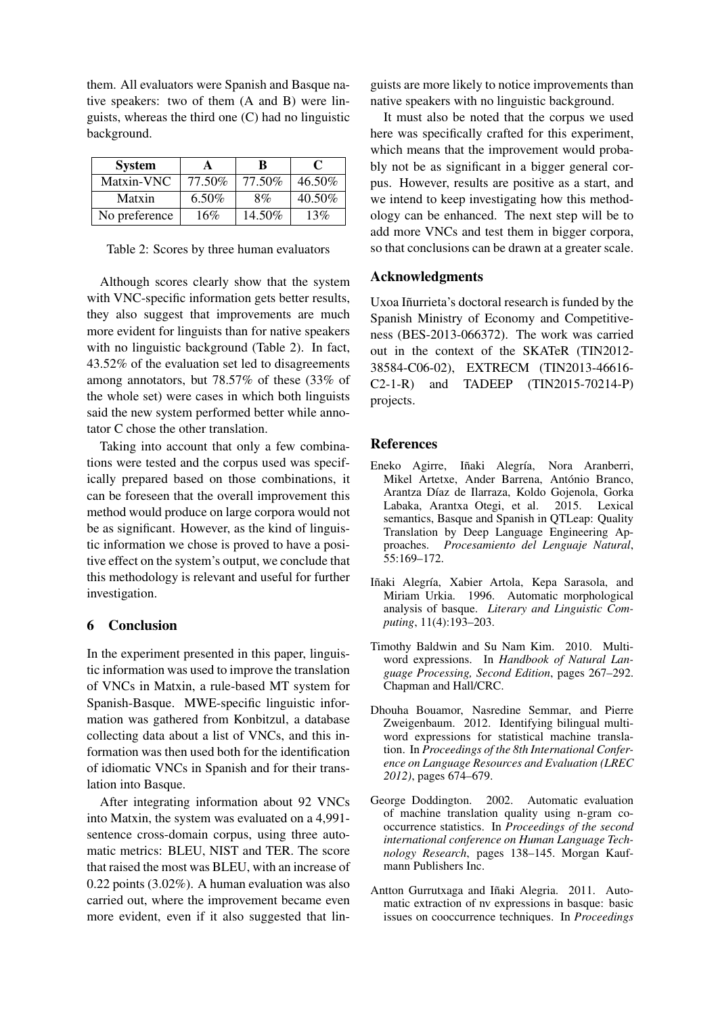them. All evaluators were Spanish and Basque native speakers: two of them (A and B) were linguists, whereas the third one (C) had no linguistic background.

| <b>System</b> | A        | B      | $\mathbf{C}$ |
|---------------|----------|--------|--------------|
| Matxin-VNC    | 77.50%   | 77.50% | 46.50%       |
| Matxin        | $6.50\%$ | 8%     | 40.50%       |
| No preference | 16%      | 14.50% | 13%          |

Table 2: Scores by three human evaluators

Although scores clearly show that the system with VNC-specific information gets better results, they also suggest that improvements are much more evident for linguists than for native speakers with no linguistic background (Table 2). In fact, 43.52% of the evaluation set led to disagreements among annotators, but 78.57% of these (33% of the whole set) were cases in which both linguists said the new system performed better while annotator C chose the other translation.

Taking into account that only a few combinations were tested and the corpus used was specifically prepared based on those combinations, it can be foreseen that the overall improvement this method would produce on large corpora would not be as significant. However, as the kind of linguistic information we chose is proved to have a positive effect on the system's output, we conclude that this methodology is relevant and useful for further investigation.

## 6 Conclusion

In the experiment presented in this paper, linguistic information was used to improve the translation of VNCs in Matxin, a rule-based MT system for Spanish-Basque. MWE-specific linguistic information was gathered from Konbitzul, a database collecting data about a list of VNCs, and this information was then used both for the identification of idiomatic VNCs in Spanish and for their translation into Basque.

After integrating information about 92 VNCs into Matxin, the system was evaluated on a 4,991 sentence cross-domain corpus, using three automatic metrics: BLEU, NIST and TER. The score that raised the most was BLEU, with an increase of 0.22 points (3.02%). A human evaluation was also carried out, where the improvement became even more evident, even if it also suggested that lin-

guists are more likely to notice improvements than native speakers with no linguistic background.

It must also be noted that the corpus we used here was specifically crafted for this experiment, which means that the improvement would probably not be as significant in a bigger general corpus. However, results are positive as a start, and we intend to keep investigating how this methodology can be enhanced. The next step will be to add more VNCs and test them in bigger corpora, so that conclusions can be drawn at a greater scale.

## Acknowledgments

Uxoa Iñurrieta's doctoral research is funded by the Spanish Ministry of Economy and Competitiveness (BES-2013-066372). The work was carried out in the context of the SKATeR (TIN2012- 38584-C06-02), EXTRECM (TIN2013-46616- C2-1-R) and TADEEP (TIN2015-70214-P) projects.

### **References**

- Eneko Agirre, Iñaki Alegría, Nora Aranberri, Mikel Artetxe, Ander Barrena, António Branco, Arantza Díaz de Ilarraza, Koldo Gojenola, Gorka Labaka, Arantxa Otegi, et al. 2015. Lexical semantics, Basque and Spanish in QTLeap: Quality Translation by Deep Language Engineering Approaches. *Procesamiento del Lenguaje Natural*, 55:169–172.
- Iñaki Alegría, Xabier Artola, Kepa Sarasola, and Miriam Urkia. 1996. Automatic morphological analysis of basque. *Literary and Linguistic Computing*, 11(4):193–203.
- Timothy Baldwin and Su Nam Kim. 2010. Multiword expressions. In *Handbook of Natural Language Processing, Second Edition*, pages 267–292. Chapman and Hall/CRC.
- Dhouha Bouamor, Nasredine Semmar, and Pierre Zweigenbaum. 2012. Identifying bilingual multiword expressions for statistical machine translation. In *Proceedings of the 8th International Conference on Language Resources and Evaluation (LREC 2012)*, pages 674–679.
- George Doddington. 2002. Automatic evaluation of machine translation quality using n-gram cooccurrence statistics. In *Proceedings of the second international conference on Human Language Technology Research*, pages 138–145. Morgan Kaufmann Publishers Inc.
- Antton Gurrutxaga and Iñaki Alegria. 2011. Automatic extraction of nv expressions in basque: basic issues on cooccurrence techniques. In *Proceedings*